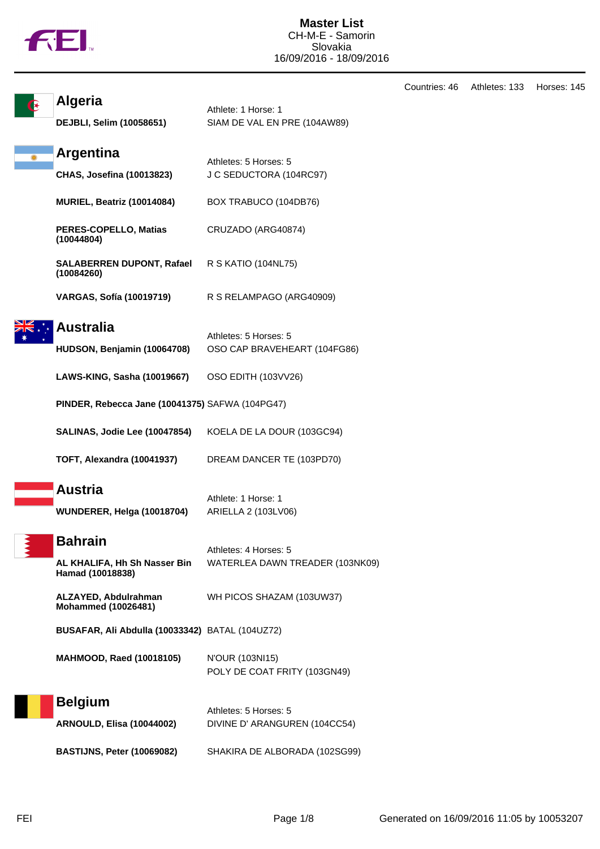|  | ш |
|--|---|
|  |   |

|                                                                    |                                                          | Countries: 46 | Athletes: 133 | Horses: 145 |
|--------------------------------------------------------------------|----------------------------------------------------------|---------------|---------------|-------------|
| <b>Algeria</b><br>DEJBLI, Selim (10058651)                         | Athlete: 1 Horse: 1<br>SIAM DE VAL EN PRE (104AW89)      |               |               |             |
| <b>Argentina</b><br><b>CHAS, Josefina (10013823)</b>               | Athletes: 5 Horses: 5<br>J C SEDUCTORA (104RC97)         |               |               |             |
| MURIEL, Beatriz (10014084)                                         | BOX TRABUCO (104DB76)                                    |               |               |             |
| PERES-COPELLO, Matias<br>(10044804)                                | CRUZADO (ARG40874)                                       |               |               |             |
| <b>SALABERREN DUPONT, Rafael</b><br>(10084260)                     | R S KATIO (104NL75)                                      |               |               |             |
| <b>VARGAS, Sofía (10019719)</b>                                    | R S RELAMPAGO (ARG40909)                                 |               |               |             |
| <b>Australia</b><br>HUDSON, Benjamin (10064708)                    | Athletes: 5 Horses: 5<br>OSO CAP BRAVEHEART (104FG86)    |               |               |             |
| LAWS-KING, Sasha (10019667)                                        | OSO EDITH (103VV26)                                      |               |               |             |
| PINDER, Rebecca Jane (10041375) SAFWA (104PG47)                    |                                                          |               |               |             |
| SALINAS, Jodie Lee (10047854)                                      | KOELA DE LA DOUR (103GC94)                               |               |               |             |
| <b>TOFT, Alexandra (10041937)</b>                                  | DREAM DANCER TE (103PD70)                                |               |               |             |
| <b>Austria</b><br>WUNDERER, Helga (10018704)                       | Athlete: 1 Horse: 1<br>ARIELLA 2 (103LV06)               |               |               |             |
| <b>Bahrain</b><br>AL KHALIFA, Hh Sh Nasser Bin<br>Hamad (10018838) | Athletes: 4 Horses: 5<br>WATERLEA DAWN TREADER (103NK09) |               |               |             |
| ALZAYED, Abdulrahman<br><b>Mohammed (10026481)</b>                 | WH PICOS SHAZAM (103UW37)                                |               |               |             |
| BUSAFAR, Ali Abdulla (10033342) BATAL (104UZ72)                    |                                                          |               |               |             |
| <b>MAHMOOD, Raed (10018105)</b>                                    | N'OUR (103NI15)<br>POLY DE COAT FRITY (103GN49)          |               |               |             |
| <b>Belgium</b><br><b>ARNOULD, Elisa (10044002)</b>                 | Athletes: 5 Horses: 5<br>DIVINE D' ARANGUREN (104CC54)   |               |               |             |
| <b>BASTIJNS, Peter (10069082)</b>                                  | SHAKIRA DE ALBORADA (102SG99)                            |               |               |             |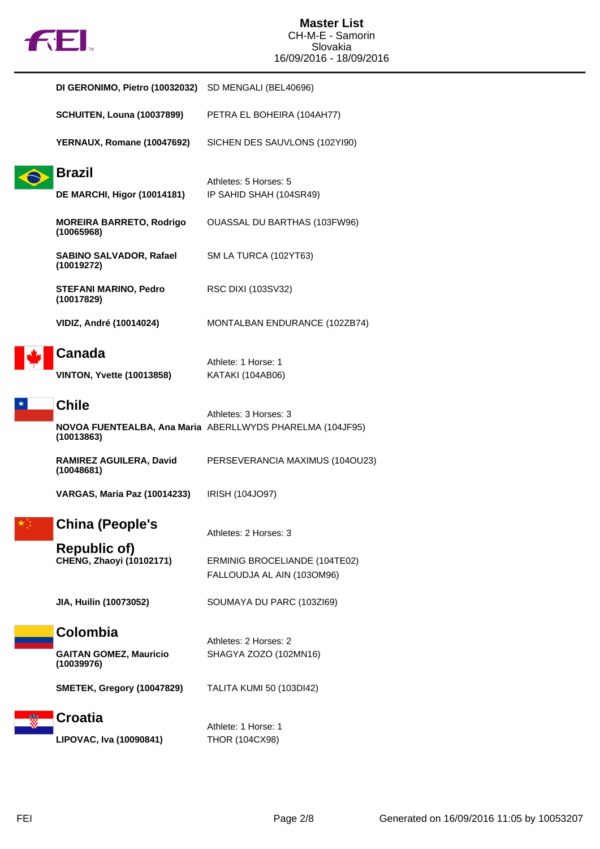

| DI GERONIMO, Pietro (10032032)                      | SD MENGALI (BEL40696)                                       |
|-----------------------------------------------------|-------------------------------------------------------------|
| <b>SCHUITEN, Louna (10037899)</b>                   | PETRA EL BOHEIRA (104AH77)                                  |
| YERNAUX, Romane (10047692)                          | SICHEN DES SAUVLONS (102YI90)                               |
| <b>Brazil</b><br><b>DE MARCHI, Higor (10014181)</b> | Athletes: 5 Horses: 5<br>IP SAHID SHAH (104SR49)            |
| <b>MOREIRA BARRETO, Rodrigo</b><br>(10065968)       | OUASSAL DU BARTHAS (103FW96)                                |
| <b>SABINO SALVADOR, Rafael</b><br>(10019272)        | SM LA TURCA (102YT63)                                       |
| STEFANI MARINO, Pedro<br>(10017829)                 | RSC DIXI (103SV32)                                          |
| <b>VIDIZ, André (10014024)</b>                      | MONTALBAN ENDURANCE (102ZB74)                               |
| <b>Canada</b><br><b>VINTON, Yvette (10013858)</b>   | Athlete: 1 Horse: 1<br>KATAKI (104AB06)                     |
| <b>Chile</b>                                        | Athletes: 3 Horses: 3                                       |
| (10013863)                                          | NOVOA FUENTEALBA, Ana Maria ABERLLWYDS PHARELMA (104JF95)   |
| RAMIREZ AGUILERA, David<br>(10048681)               | PERSEVERANCIA MAXIMUS (1040U23)                             |
| <b>VARGAS, Maria Paz (10014233)</b>                 | IRISH (104JO97)                                             |
| <b>China (People's</b>                              | Athletes: 2 Horses: 3                                       |
| <b>Republic of)</b><br>CHENG, Zhaoyi (10102171)     | ERMINIG BROCELIANDE (104TE02)<br>FALLOUDJA AL AIN (103OM96) |
| JIA, Huilin (10073052)                              | SOUMAYA DU PARC (103ZI69)                                   |
| Colombia                                            | Athletes: 2 Horses: 2                                       |
| <b>GAITAN GOMEZ, Mauricio</b><br>(10039976)         | SHAGYA ZOZO (102MN16)                                       |
| <b>SMETEK, Gregory (10047829)</b>                   | TALITA KUMI 50 (103DI42)                                    |
| <b>Croatia</b>                                      | Athlete: 1 Horse: 1                                         |

**LIPOVAC, Iva (10090841)** THOR (104CX98)

FEI Page 2/8 Generated on 16/09/2016 11:05 by 10053207

 $\vert \star$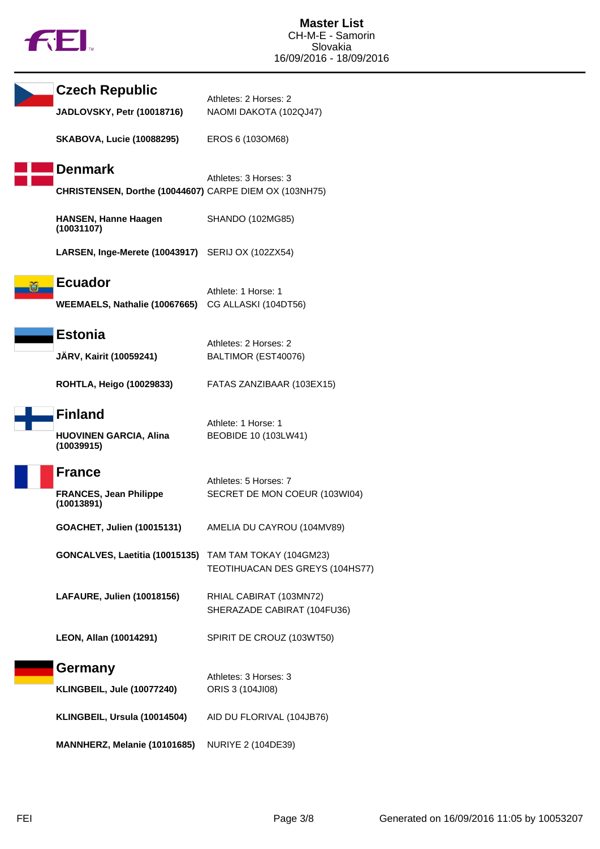|  | h |
|--|---|
|  |   |

| <b>Czech Republic</b>                                  | Athletes: 2 Horses: 2                                  |
|--------------------------------------------------------|--------------------------------------------------------|
| JADLOVSKY, Petr (10018716)                             | NAOMI DAKOTA (102QJ47)                                 |
| <b>SKABOVA, Lucie (10088295)</b>                       | EROS 6 (103OM68)                                       |
| <b>Denmark</b>                                         |                                                        |
| CHRISTENSEN, Dorthe (10044607) CARPE DIEM OX (103NH75) | Athletes: 3 Horses: 3                                  |
| <b>HANSEN, Hanne Haagen</b><br>(10031107)              | SHANDO (102MG85)                                       |
| LARSEN, Inge-Merete (10043917) SERIJ OX (102ZX54)      |                                                        |
| <b>Ecuador</b>                                         |                                                        |
| WEEMAELS, Nathalie (10067665)                          | Athlete: 1 Horse: 1<br>CG ALLASKI (104DT56)            |
|                                                        |                                                        |
| <b>Estonia</b>                                         | Athletes: 2 Horses: 2                                  |
| JÄRV, Kairit (10059241)                                | BALTIMOR (EST40076)                                    |
| <b>ROHTLA, Heigo (10029833)</b>                        | FATAS ZANZIBAAR (103EX15)                              |
| <b>Finland</b>                                         |                                                        |
| <b>HUOVINEN GARCIA, Alina</b><br>(10039915)            | Athlete: 1 Horse: 1<br>BEOBIDE 10 (103LW41)            |
| <b>France</b>                                          |                                                        |
| <b>FRANCES, Jean Philippe</b><br>(10013891)            | Athletes: 5 Horses: 7<br>SECRET DE MON COEUR (103WI04) |
| GOACHET, Julien (10015131)                             | AMELIA DU CAYROU (104MV89)                             |
| GONCALVES, Laetitia (10015135) TAM TAM TOKAY (104GM23) | TEOTIHUACAN DES GREYS (104HS77)                        |
| LAFAURE, Julien (10018156)                             | RHIAL CABIRAT (103MN72)<br>SHERAZADE CABIRAT (104FU36) |
| LEON, Allan (10014291)                                 | SPIRIT DE CROUZ (103WT50)                              |
| Germany                                                |                                                        |
| KLINGBEIL, Jule (10077240)                             | Athletes: 3 Horses: 3<br>ORIS 3 (104JI08)              |
|                                                        |                                                        |
| KLINGBEIL, Ursula (10014504)                           | AID DU FLORIVAL (104JB76)                              |
| MANNHERZ, Melanie (10101685)                           | NURIYE 2 (104DE39)                                     |
|                                                        |                                                        |

l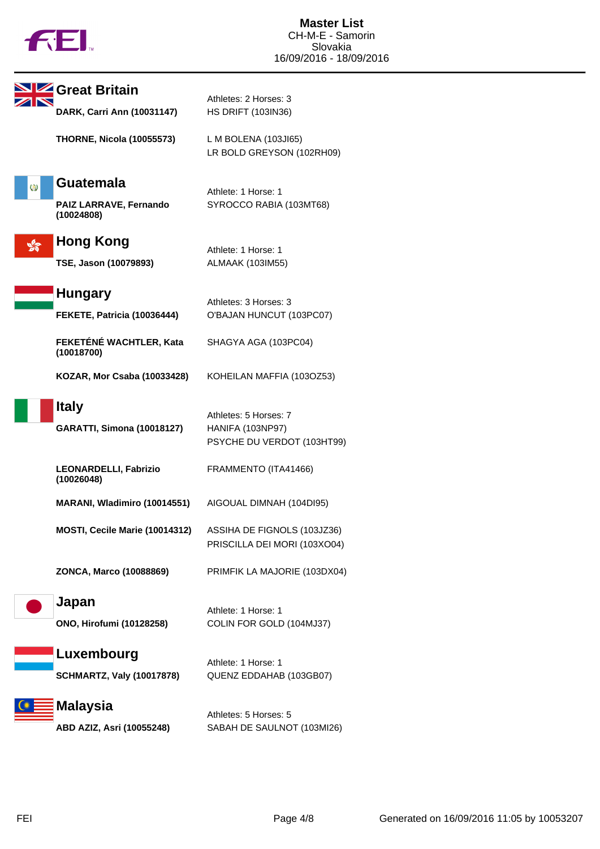

|   | Great Britain                              | Athletes: 2 Horses: 3                                                   |
|---|--------------------------------------------|-------------------------------------------------------------------------|
|   | DARK, Carri Ann (10031147)                 | <b>HS DRIFT (103IN36)</b>                                               |
|   | <b>THORNE, Nicola (10055573)</b>           | L M BOLENA (103JI65)<br>LR BOLD GREYSON (102RH09)                       |
| Ø | <b>Guatemala</b>                           | Athlete: 1 Horse: 1                                                     |
|   | PAIZ LARRAVE, Fernando<br>(10024808)       | SYROCCO RABIA (103MT68)                                                 |
|   | <b>Hong Kong</b>                           |                                                                         |
|   | TSE, Jason (10079893)                      | Athlete: 1 Horse: 1<br>ALMAAK (103IM55)                                 |
|   | <b>Hungary</b>                             |                                                                         |
|   | FEKETE, Patricia (10036444)                | Athletes: 3 Horses: 3<br>O'BAJAN HUNCUT (103PC07)                       |
|   | FEKETÉNÉ WACHTLER, Kata<br>(10018700)      | SHAGYA AGA (103PC04)                                                    |
|   | KOZAR, Mor Csaba (10033428)                | KOHEILAN MAFFIA (103OZ53)                                               |
|   | <b>Italy</b>                               |                                                                         |
|   | <b>GARATTI, Simona (10018127)</b>          | Athletes: 5 Horses: 7<br>HANIFA (103NP97)<br>PSYCHE DU VERDOT (103HT99) |
|   | <b>LEONARDELLI, Fabrizio</b><br>(10026048) | FRAMMENTO (ITA41466)                                                    |
|   | MARANI, Wladimiro (10014551)               | AIGOUAL DIMNAH (104DI95)                                                |
|   | MOSTI, Cecile Marie (10014312)             | ASSIHA DE FIGNOLS (103JZ36)<br>PRISCILLA DEI MORI (103XO04)             |
|   | ZONCA, Marco (10088869)                    | PRIMFIK LA MAJORIE (103DX04)                                            |
|   | Japan                                      |                                                                         |
|   | ONO, Hirofumi (10128258)                   | Athlete: 1 Horse: 1<br>COLIN FOR GOLD (104MJ37)                         |
|   | Luxembourg                                 | Athlete: 1 Horse: 1                                                     |
|   | <b>SCHMARTZ, Valy (10017878)</b>           | QUENZ EDDAHAB (103GB07)                                                 |
|   | <b>Malaysia</b>                            | Athletes: 5 Horses: 5                                                   |
|   | ABD AZIZ, Asri (10055248)                  | SABAH DE SAULNOT (103MI26)                                              |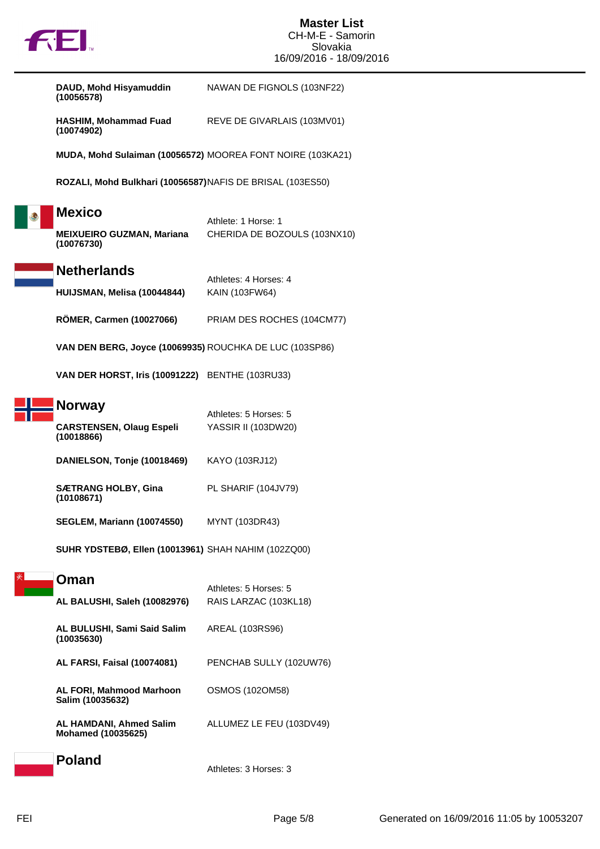

**DAUD, Mohd Hisyamuddin (10056578)** NAWAN DE FIGNOLS (103NF22)

**HASHIM, Mohammad Fuad (10074902)** REVE DE GIVARLAIS (103MV01)

**MUDA, Mohd Sulaiman (10056572)** MOOREA FONT NOIRE (103KA21)

**ROZALI, Mohd Bulkhari (10056587)**NAFIS DE BRISAL (103ES50)

|  | <b>Mexico</b> |
|--|---------------|
|  |               |

## Athlete: 1 Horse: 1 **MEIXUEIRO GUZMAN, Mariana (10076730)** CHERIDA DE BOZOULS (103NX10)

**Netherlands**

Athletes: 4 Horses: 4 **HUIJSMAN, Melisa (10044844)** KAIN (103FW64)

**RÖMER, Carmen (10027066)** PRIAM DES ROCHES (104CM77)

**VAN DEN BERG, Joyce (10069935)** ROUCHKA DE LUC (103SP86)

**VAN DER HORST, Iris (10091222)** BENTHE (103RU33)

| <b>Norway</b>                                 | Athletes: 5 Horses: 5 |  |  |
|-----------------------------------------------|-----------------------|--|--|
| <b>CARSTENSEN, Olaug Espeli</b><br>(10018866) | YASSIR II (103DW20)   |  |  |
| DANIELSON, Tonje (10018469)                   | KAYO (103RJ12)        |  |  |

**SÆTRANG HOLBY, Gina (10108671)** PL SHARIF (104JV79)

**SEGLEM, Mariann (10074550)** MYNT (103DR43)

**SUHR YDSTEBØ, Ellen (10013961)** SHAH NAHIM (102ZQ00)

**Oman**

| AL BALUSHI, Saleh (10082976)                         | Athletes: 5 Horses: 5<br>RAIS LARZAC (103KL18) |
|------------------------------------------------------|------------------------------------------------|
| AL BULUSHI, Sami Said Salim<br>(10035630)            | AREAL (103RS96)                                |
| <b>AL FARSI, Faisal (10074081)</b>                   | PENCHAB SULLY (102UW76)                        |
| AL FORI, Mahmood Marhoon<br>Salim (10035632)         | <b>OSMOS (102OM58)</b>                         |
| AL HAMDANI, Ahmed Salim<br><b>Mohamed (10035625)</b> | ALLUMEZ LE FEU (103DV49)                       |
| <b>Poland</b>                                        | Athletes: 3 Horses: 3                          |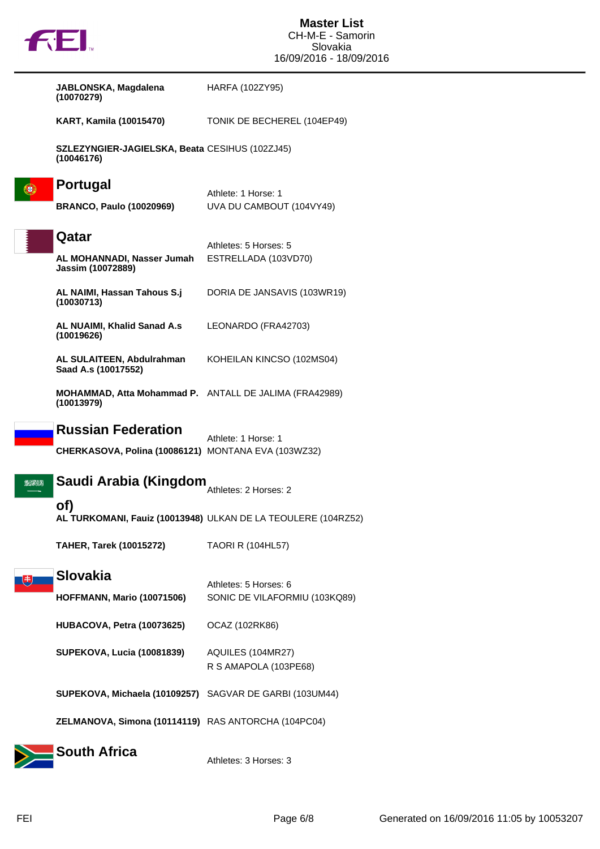|     | <b>TOL.</b>                                                                      | <b>Master List</b><br>CH-M-E - Samorin<br>Slovakia            |
|-----|----------------------------------------------------------------------------------|---------------------------------------------------------------|
|     |                                                                                  | 16/09/2016 - 18/09/2016                                       |
|     | JABLONSKA, Magdalena<br>(10070279)                                               | HARFA (102ZY95)                                               |
|     | <b>KART, Kamila (10015470)</b>                                                   | TONIK DE BECHEREL (104EP49)                                   |
|     | SZLEZYNGIER-JAGIELSKA, Beata CESIHUS (102ZJ45)<br>(10046176)                     |                                                               |
| Œ   | <b>Portugal</b><br><b>BRANCO, Paulo (10020969)</b>                               | Athlete: 1 Horse: 1<br>UVA DU CAMBOUT (104VY49)               |
|     | Qatar<br>AL MOHANNADI, Nasser Jumah<br>Jassim (10072889)                         | Athletes: 5 Horses: 5<br>ESTRELLADA (103VD70)                 |
|     | AL NAIMI, Hassan Tahous S.j<br>(10030713)                                        | DORIA DE JANSAVIS (103WR19)                                   |
|     | AL NUAIMI, Khalid Sanad A.s<br>(10019626)                                        | LEONARDO (FRA42703)                                           |
|     | AL SULAITEEN, Abdulrahman<br>Saad A.s (10017552)                                 | KOHEILAN KINCSO (102MS04)                                     |
|     | MOHAMMAD, Atta Mohammad P. ANTALL DE JALIMA (FRA42989)<br>(10013979)             |                                                               |
|     | <b>Russian Federation</b><br>CHERKASOVA, Polina (10086121) MONTANA EVA (103WZ32) | Athlete: 1 Horse: 1                                           |
| 224 | Saudi Arabia (Kingdom                                                            | Athletes: 2 Horses: 2                                         |
|     | of)                                                                              | AL TURKOMANI, Fauiz (10013948) ULKAN DE LA TEOULERE (104RZ52) |
|     | <b>TAHER, Tarek (10015272)</b>                                                   | <b>TAORI R (104HL57)</b>                                      |
| ほ   | <b>Slovakia</b><br><b>HOFFMANN, Mario (10071506)</b>                             | Athletes: 5 Horses: 6<br>SONIC DE VILAFORMIU (103KQ89)        |
|     | HUBACOVA, Petra (10073625)                                                       | OCAZ (102RK86)                                                |
|     | <b>SUPEKOVA, Lucia (10081839)</b>                                                | AQUILES (104MR27)<br>R S AMAPOLA (103PE68)                    |
|     | SUPEKOVA, Michaela (10109257) SAGVAR DE GARBI (103UM44)                          |                                                               |
|     | ZELMANOVA, Simona (10114119) RAS ANTORCHA (104PC04)                              |                                                               |
|     | <b>South Africa</b>                                                              | Athletes: 3 Horses: 3                                         |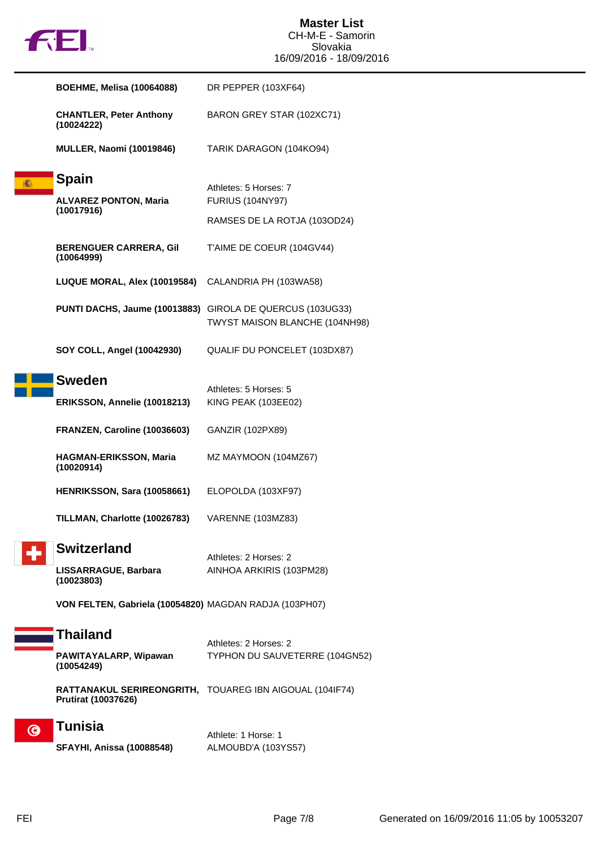|  |  | u |
|--|--|---|
|  |  |   |

|    | <b>BOEHME, Melisa (10064088)</b>                          | DR PEPPER (103XF64)                                     |
|----|-----------------------------------------------------------|---------------------------------------------------------|
|    | <b>CHANTLER, Peter Anthony</b><br>(10024222)              | BARON GREY STAR (102XC71)                               |
|    | <b>MULLER, Naomi (10019846)</b>                           | TARIK DARAGON (104KO94)                                 |
|    | <b>Spain</b>                                              |                                                         |
|    | <b>ALVAREZ PONTON, Maria</b>                              | Athletes: 5 Horses: 7<br><b>FURIUS (104NY97)</b>        |
|    | (10017916)                                                |                                                         |
|    |                                                           | RAMSES DE LA ROTJA (103OD24)                            |
|    | <b>BERENGUER CARRERA, Gil</b><br>(10064999)               | T'AIME DE COEUR (104GV44)                               |
|    | LUQUE MORAL, Alex (10019584) CALANDRIA PH (103WA58)       |                                                         |
|    | PUNTI DACHS, Jaume (10013883) GIROLA DE QUERCUS (103UG33) | TWYST MAISON BLANCHE (104NH98)                          |
|    | SOY COLL, Angel (10042930)                                | QUALIF DU PONCELET (103DX87)                            |
|    | <b>Sweden</b>                                             |                                                         |
|    |                                                           | Athletes: 5 Horses: 5                                   |
|    | ERIKSSON, Annelie (10018213)                              | KING PEAK (103EE02)                                     |
|    | FRANZEN, Caroline (10036603)                              | GANZIR (102PX89)                                        |
|    | HAGMAN-ERIKSSON, Maria<br>(10020914)                      | MZ MAYMOON (104MZ67)                                    |
|    | HENRIKSSON, Sara (10058661)                               | ELOPOLDA (103XF97)                                      |
|    | TILLMAN, Charlotte (10026783)                             | VARENNE (103MZ83)                                       |
|    | <b>Switzerland</b>                                        |                                                         |
|    | LISSARRAGUE, Barbara                                      | Athletes: 2 Horses: 2<br>AINHOA ARKIRIS (103PM28)       |
|    | (10023803)                                                |                                                         |
|    | VON FELTEN, Gabriela (10054820) MAGDAN RADJA (103PH07)    |                                                         |
|    | <b>Thailand</b>                                           |                                                         |
|    |                                                           | Athletes: 2 Horses: 2                                   |
|    | PAWITAYALARP, Wipawan<br>(10054249)                       | TYPHON DU SAUVETERRE (104GN52)                          |
|    | <b>Prutirat (10037626)</b>                                | RATTANAKUL SERIREONGRITH, TOUAREG IBN AIGOUAL (104IF74) |
| G) | <b>Tunisia</b>                                            |                                                         |
|    | <b>SFAYHI, Anissa (10088548)</b>                          | Athlete: 1 Horse: 1<br>ALMOUBD'A (103YS57)              |